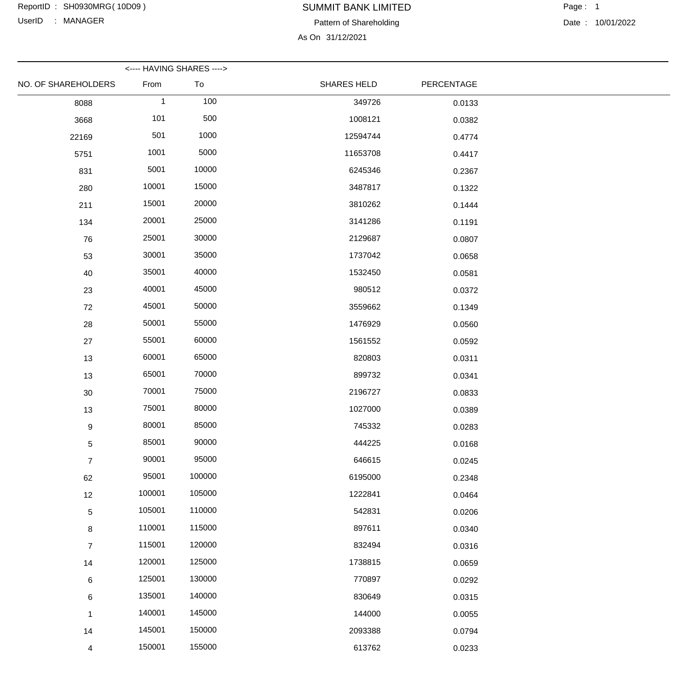UserID : MANAGER

# SUMMIT BANK LIMITED Pattern of Shareholding

Date : 10/01/2022

As On 31/12/2021

|                     |              | <---- HAVING SHARES ----> |                    |            |  |
|---------------------|--------------|---------------------------|--------------------|------------|--|
| NO. OF SHAREHOLDERS | From         | To                        | <b>SHARES HELD</b> | PERCENTAGE |  |
| 8088                | $\mathbf{1}$ | 100                       | 349726             | 0.0133     |  |
| 3668                | 101          | 500                       | 1008121            | 0.0382     |  |
| 22169               | 501          | 1000                      | 12594744           | 0.4774     |  |
| 5751                | 1001         | 5000                      | 11653708           | 0.4417     |  |
| 831                 | 5001         | 10000                     | 6245346            | 0.2367     |  |
| 280                 | 10001        | 15000                     | 3487817            | 0.1322     |  |
| 211                 | 15001        | 20000                     | 3810262            | 0.1444     |  |
| 134                 | 20001        | 25000                     | 3141286            | 0.1191     |  |
| 76                  | 25001        | 30000                     | 2129687            | 0.0807     |  |
| 53                  | 30001        | 35000                     | 1737042            | 0.0658     |  |
| 40                  | 35001        | 40000                     | 1532450            | 0.0581     |  |
| 23                  | 40001        | 45000                     | 980512             | 0.0372     |  |
| 72                  | 45001        | 50000                     | 3559662            | 0.1349     |  |
| 28                  | 50001        | 55000                     | 1476929            | 0.0560     |  |
| 27                  | 55001        | 60000                     | 1561552            | 0.0592     |  |
| 13                  | 60001        | 65000                     | 820803             | 0.0311     |  |
| 13                  | 65001        | 70000                     | 899732             | 0.0341     |  |
| $30\,$              | 70001        | 75000                     | 2196727            | 0.0833     |  |
| 13                  | 75001        | 80000                     | 1027000            | 0.0389     |  |
| 9                   | 80001        | 85000                     | 745332             | 0.0283     |  |
| $\sqrt{5}$          | 85001        | 90000                     | 444225             | 0.0168     |  |
| $\overline{7}$      | 90001        | 95000                     | 646615             | 0.0245     |  |
| 62                  | 95001        | 100000                    | 6195000            | 0.2348     |  |
| 12                  | 100001       | 105000                    | 1222841            | 0.0464     |  |
| $\sqrt{5}$          | 105001       | 110000                    | 542831             | 0.0206     |  |
| $\bf 8$             | 110001       | 115000                    | 897611             | 0.0340     |  |
| $\overline{7}$      | 115001       | 120000                    | 832494             | 0.0316     |  |
| 14                  | 120001       | 125000                    | 1738815            | 0.0659     |  |
| $6\phantom{.}6$     | 125001       | 130000                    | 770897             | 0.0292     |  |
| $\,6\,$             | 135001       | 140000                    | 830649             | 0.0315     |  |
| $\mathbf 1$         | 140001       | 145000                    | 144000             | 0.0055     |  |
| 14                  | 145001       | 150000                    | 2093388            | 0.0794     |  |
| $\overline{4}$      | 150001       | 155000                    | 613762             | 0.0233     |  |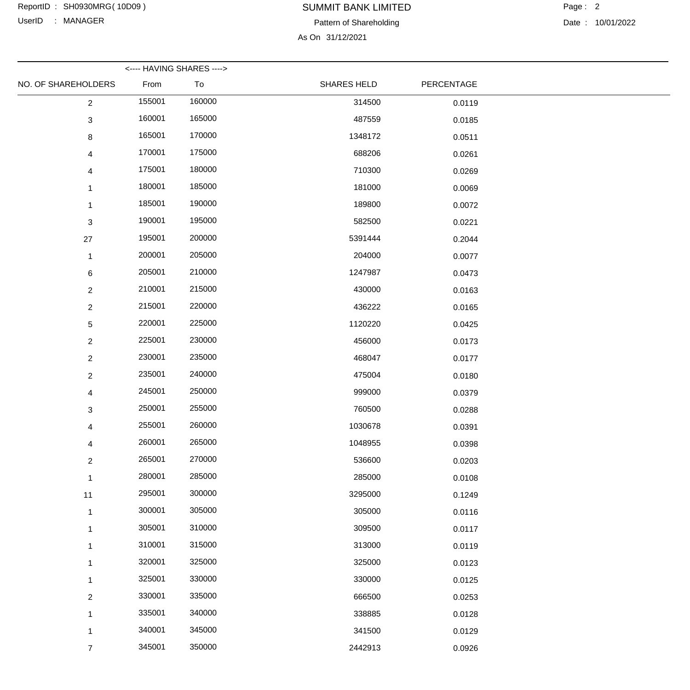UserID : MANAGER

# SUMMIT BANK LIMITED

Pattern of Shareholding

As On 31/12/2021

|                     |        | <---- HAVING SHARES ----> |                    |            |  |
|---------------------|--------|---------------------------|--------------------|------------|--|
| NO. OF SHAREHOLDERS | From   | To                        | <b>SHARES HELD</b> | PERCENTAGE |  |
| $\overline{2}$      | 155001 | 160000                    | 314500             | 0.0119     |  |
| $\sqrt{3}$          | 160001 | 165000                    | 487559             | 0.0185     |  |
| 8                   | 165001 | 170000                    | 1348172            | 0.0511     |  |
| 4                   | 170001 | 175000                    | 688206             | 0.0261     |  |
| 4                   | 175001 | 180000                    | 710300             | 0.0269     |  |
| $\mathbf{1}$        | 180001 | 185000                    | 181000             | 0.0069     |  |
| $\mathbf{1}$        | 185001 | 190000                    | 189800             | 0.0072     |  |
| 3                   | 190001 | 195000                    | 582500             | 0.0221     |  |
| 27                  | 195001 | 200000                    | 5391444            | 0.2044     |  |
| $\mathbf{1}$        | 200001 | 205000                    | 204000             | 0.0077     |  |
| $6\phantom{.}6$     | 205001 | 210000                    | 1247987            | 0.0473     |  |
| $\overline{2}$      | 210001 | 215000                    | 430000             | 0.0163     |  |
| $\overline{2}$      | 215001 | 220000                    | 436222             | 0.0165     |  |
| 5                   | 220001 | 225000                    | 1120220            | 0.0425     |  |
| $\overline{2}$      | 225001 | 230000                    | 456000             | 0.0173     |  |
| $\overline{2}$      | 230001 | 235000                    | 468047             | 0.0177     |  |
| $\overline{2}$      | 235001 | 240000                    | 475004             | 0.0180     |  |
| 4                   | 245001 | 250000                    | 999000             | 0.0379     |  |
| 3                   | 250001 | 255000                    | 760500             | 0.0288     |  |
| 4                   | 255001 | 260000                    | 1030678            | 0.0391     |  |
| 4                   | 260001 | 265000                    | 1048955            | 0.0398     |  |
| $\overline{2}$      | 265001 | 270000                    | 536600             | 0.0203     |  |
| $\mathbf 1$         | 280001 | 285000                    | 285000             | 0.0108     |  |
| 11                  | 295001 | 300000                    | 3295000            | 0.1249     |  |
| 1                   | 300001 | 305000                    | 305000             | 0.0116     |  |
| $\mathbf{1}$        | 305001 | 310000                    | 309500             | 0.0117     |  |
| $\mathbf{1}$        | 310001 | 315000                    | 313000             | 0.0119     |  |
| $\mathbf{1}$        | 320001 | 325000                    | 325000             | 0.0123     |  |
| 1                   | 325001 | 330000                    | 330000             | 0.0125     |  |
| $\overline{2}$      | 330001 | 335000                    | 666500             | 0.0253     |  |
| 1                   | 335001 | 340000                    | 338885             | 0.0128     |  |
| $\mathbf{1}$        | 340001 | 345000                    | 341500             | 0.0129     |  |
| $\overline{7}$      | 345001 | 350000                    | 2442913            | 0.0926     |  |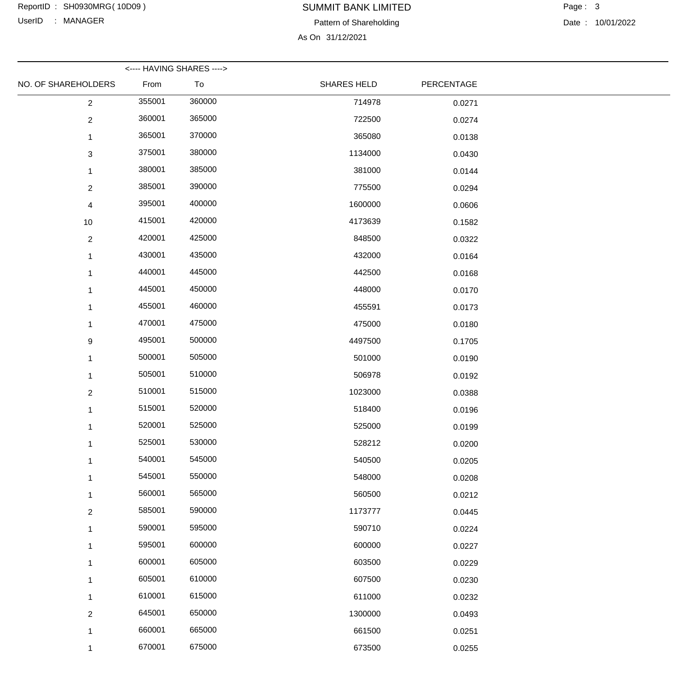UserID : MANAGER

# SUMMIT BANK LIMITED

Pattern of Shareholding

As On 31/12/2021

|                     |        | <---- HAVING SHARES ----> |                    |            |  |
|---------------------|--------|---------------------------|--------------------|------------|--|
| NO. OF SHAREHOLDERS | From   | To                        | <b>SHARES HELD</b> | PERCENTAGE |  |
| $\overline{2}$      | 355001 | 360000                    | 714978             | 0.0271     |  |
| $\overline{2}$      | 360001 | 365000                    | 722500             | 0.0274     |  |
| $\mathbf 1$         | 365001 | 370000                    | 365080             | 0.0138     |  |
| $\mathbf{3}$        | 375001 | 380000                    | 1134000            | 0.0430     |  |
| $\mathbf{1}$        | 380001 | 385000                    | 381000             | 0.0144     |  |
| $\overline{2}$      | 385001 | 390000                    | 775500             | 0.0294     |  |
| 4                   | 395001 | 400000                    | 1600000            | 0.0606     |  |
| 10                  | 415001 | 420000                    | 4173639            | 0.1582     |  |
| $\overline{2}$      | 420001 | 425000                    | 848500             | 0.0322     |  |
| $\mathbf 1$         | 430001 | 435000                    | 432000             | 0.0164     |  |
| $\mathbf 1$         | 440001 | 445000                    | 442500             | 0.0168     |  |
| $\mathbf{1}$        | 445001 | 450000                    | 448000             | 0.0170     |  |
| $\mathbf{1}$        | 455001 | 460000                    | 455591             | 0.0173     |  |
| $\mathbf{1}$        | 470001 | 475000                    | 475000             | 0.0180     |  |
| 9                   | 495001 | 500000                    | 4497500            | 0.1705     |  |
| $\mathbf{1}$        | 500001 | 505000                    | 501000             | 0.0190     |  |
| $\mathbf 1$         | 505001 | 510000                    | 506978             | 0.0192     |  |
| $\overline{2}$      | 510001 | 515000                    | 1023000            | 0.0388     |  |
| $\mathbf 1$         | 515001 | 520000                    | 518400             | 0.0196     |  |
| $\mathbf{1}$        | 520001 | 525000                    | 525000             | 0.0199     |  |
| $\mathbf{1}$        | 525001 | 530000                    | 528212             | 0.0200     |  |
| $\mathbf{1}$        | 540001 | 545000                    | 540500             | 0.0205     |  |
| $\mathbf{1}$        | 545001 | 550000                    | 548000             | 0.0208     |  |
| $\mathbf{1}$        | 560001 | 565000                    | 560500             | 0.0212     |  |
| $\overline{2}$      | 585001 | 590000                    | 1173777            | 0.0445     |  |
| $\mathbf{1}$        | 590001 | 595000                    | 590710             | 0.0224     |  |
| $\mathbf 1$         | 595001 | 600000                    | 600000             | 0.0227     |  |
| $\mathbf{1}$        | 600001 | 605000                    | 603500             | 0.0229     |  |
| $\mathbf 1$         | 605001 | 610000                    | 607500             | 0.0230     |  |
| $\mathbf{1}$        | 610001 | 615000                    | 611000             | 0.0232     |  |
| $\overline{2}$      | 645001 | 650000                    | 1300000            | 0.0493     |  |
| $\mathbf{1}$        | 660001 | 665000                    | 661500             | 0.0251     |  |
| 1                   | 670001 | 675000                    | 673500             | 0.0255     |  |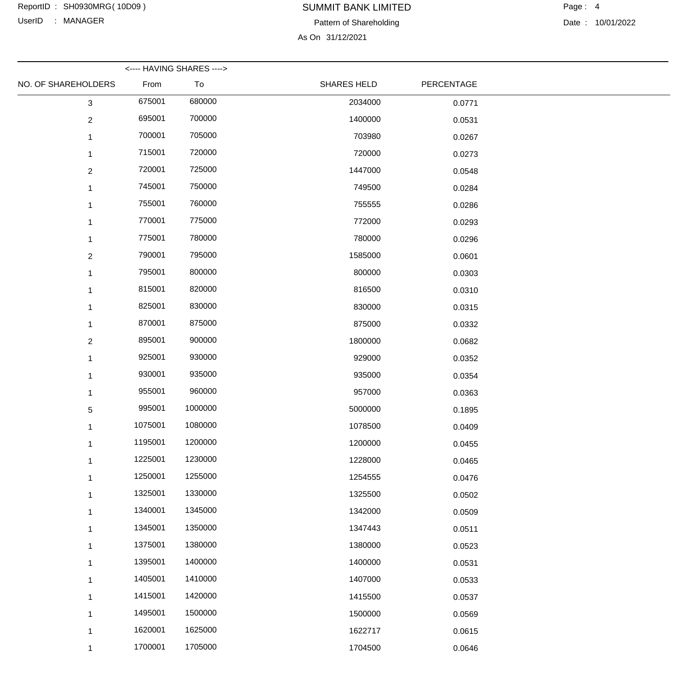UserID : MANAGER

# SUMMIT BANK LIMITED

Pattern of Shareholding

As On 31/12/2021

|                     |         | <---- HAVING SHARES ----> |                    |            |  |
|---------------------|---------|---------------------------|--------------------|------------|--|
| NO. OF SHAREHOLDERS | From    | To                        | <b>SHARES HELD</b> | PERCENTAGE |  |
| 3                   | 675001  | 680000                    | 2034000            | 0.0771     |  |
| $\overline{2}$      | 695001  | 700000                    | 1400000            | 0.0531     |  |
|                     | 700001  | 705000                    | 703980             | 0.0267     |  |
|                     | 715001  | 720000                    | 720000             | 0.0273     |  |
| $\overline{2}$      | 720001  | 725000                    | 1447000            | 0.0548     |  |
| 1                   | 745001  | 750000                    | 749500             | 0.0284     |  |
|                     | 755001  | 760000                    | 755555             | 0.0286     |  |
| 1                   | 770001  | 775000                    | 772000             | 0.0293     |  |
|                     | 775001  | 780000                    | 780000             | 0.0296     |  |
| $\overline{2}$      | 790001  | 795000                    | 1585000            | 0.0601     |  |
|                     | 795001  | 800000                    | 800000             | 0.0303     |  |
|                     | 815001  | 820000                    | 816500             | 0.0310     |  |
|                     | 825001  | 830000                    | 830000             | 0.0315     |  |
| 1                   | 870001  | 875000                    | 875000             | 0.0332     |  |
| $\overline{2}$      | 895001  | 900000                    | 1800000            | 0.0682     |  |
| 1                   | 925001  | 930000                    | 929000             | 0.0352     |  |
|                     | 930001  | 935000                    | 935000             | 0.0354     |  |
| 1                   | 955001  | 960000                    | 957000             | 0.0363     |  |
| 5                   | 995001  | 1000000                   | 5000000            | 0.1895     |  |
| 1                   | 1075001 | 1080000                   | 1078500            | 0.0409     |  |
|                     | 1195001 | 1200000                   | 1200000            | 0.0455     |  |
|                     | 1225001 | 1230000                   | 1228000            | 0.0465     |  |
|                     | 1250001 | 1255000                   | 1254555            | 0.0476     |  |
| 1                   | 1325001 | 1330000                   | 1325500            | 0.0502     |  |
|                     | 1340001 | 1345000                   | 1342000            | 0.0509     |  |
|                     | 1345001 | 1350000                   | 1347443            | 0.0511     |  |
|                     | 1375001 | 1380000                   | 1380000            | 0.0523     |  |
| 1                   | 1395001 | 1400000                   | 1400000            | 0.0531     |  |
|                     | 1405001 | 1410000                   | 1407000            | 0.0533     |  |
|                     | 1415001 | 1420000                   | 1415500            | 0.0537     |  |
|                     | 1495001 | 1500000                   | 1500000            | 0.0569     |  |
| 1                   | 1620001 | 1625000                   | 1622717            | 0.0615     |  |
| 1                   | 1700001 | 1705000                   | 1704500            | 0.0646     |  |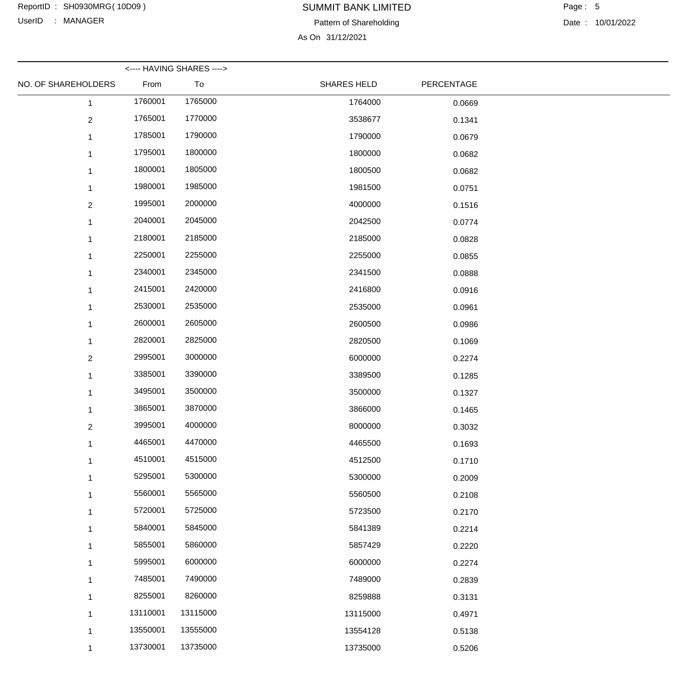UserID : MANAGER

## SUMMIT BANK LIMITED ReportID : SH0930MRG(10D09) 
BUMMIT BANK LIMITED 
Page : 5

Pattern of Shareholding

As On 31/12/2021

|                     |          | <---- HAVING SHARES ----> |                    |            |  |
|---------------------|----------|---------------------------|--------------------|------------|--|
| NO. OF SHAREHOLDERS | From     | To                        | <b>SHARES HELD</b> | PERCENTAGE |  |
| $\mathbf{1}$        | 1760001  | 1765000                   | 1764000            | 0.0669     |  |
| $\overline{2}$      | 1765001  | 1770000                   | 3538677            | 0.1341     |  |
|                     | 1785001  | 1790000                   | 1790000            | 0.0679     |  |
|                     | 1795001  | 1800000                   | 1800000            | 0.0682     |  |
| 1                   | 1800001  | 1805000                   | 1800500            | 0.0682     |  |
|                     | 1980001  | 1985000                   | 1981500            | 0.0751     |  |
| $\overline{2}$      | 1995001  | 2000000                   | 4000000            | 0.1516     |  |
| 1                   | 2040001  | 2045000                   | 2042500            | 0.0774     |  |
|                     | 2180001  | 2185000                   | 2185000            | 0.0828     |  |
|                     | 2250001  | 2255000                   | 2255000            | 0.0855     |  |
|                     | 2340001  | 2345000                   | 2341500            | 0.0888     |  |
|                     | 2415001  | 2420000                   | 2416800            | 0.0916     |  |
|                     | 2530001  | 2535000                   | 2535000            | 0.0961     |  |
|                     | 2600001  | 2605000                   | 2600500            | 0.0986     |  |
| 1                   | 2820001  | 2825000                   | 2820500            | 0.1069     |  |
| $\overline{2}$      | 2995001  | 3000000                   | 6000000            | 0.2274     |  |
|                     | 3385001  | 3390000                   | 3389500            | 0.1285     |  |
|                     | 3495001  | 3500000                   | 3500000            | 0.1327     |  |
|                     | 3865001  | 3870000                   | 3866000            | 0.1465     |  |
| $\overline{2}$      | 3995001  | 4000000                   | 8000000            | 0.3032     |  |
| 1                   | 4465001  | 4470000                   | 4465500            | 0.1693     |  |
|                     | 4510001  | 4515000                   | 4512500            | 0.1710     |  |
| 1                   | 5295001  | 5300000                   | 5300000            | 0.2009     |  |
|                     | 5560001  | 5565000                   | 5560500            | 0.2108     |  |
| 1                   | 5720001  | 5725000                   | 5723500            | 0.2170     |  |
|                     | 5840001  | 5845000                   | 5841389            | 0.2214     |  |
|                     | 5855001  | 5860000                   | 5857429            | 0.2220     |  |
|                     | 5995001  | 6000000                   | 6000000            | 0.2274     |  |
| 1                   | 7485001  | 7490000                   | 7489000            | 0.2839     |  |
| 1                   | 8255001  | 8260000                   | 8259888            | 0.3131     |  |
| 1                   | 13110001 | 13115000                  | 13115000           | 0.4971     |  |
|                     | 13550001 | 13555000                  | 13554128           | 0.5138     |  |
| 1                   | 13730001 | 13735000                  | 13735000           | 0.5206     |  |